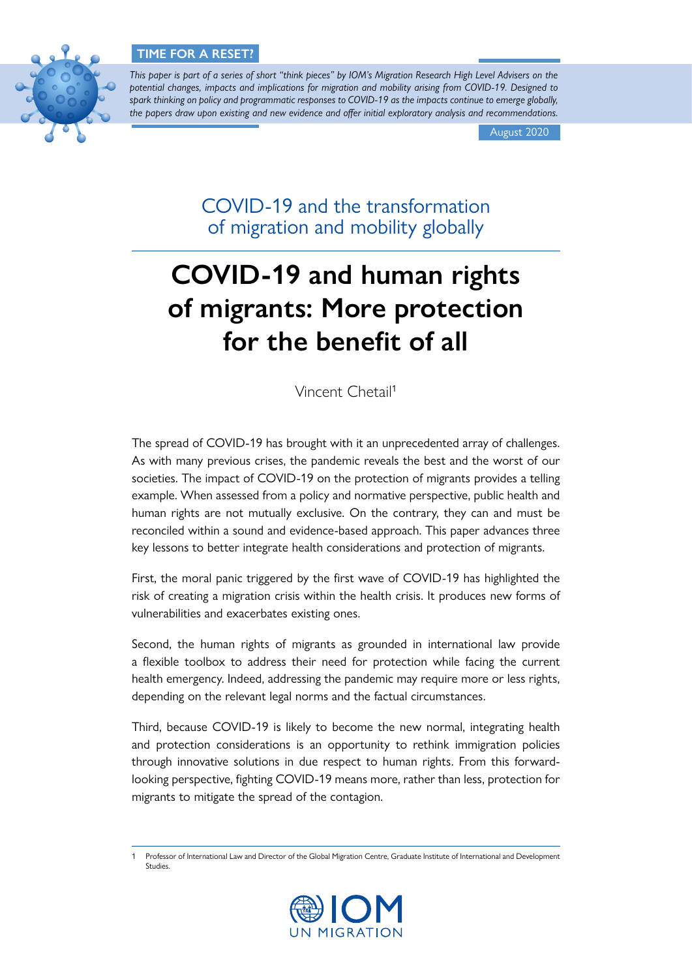

*This paper is part of a series of short "think pieces" by IOM's Migration Research High Level Advisers on the potential changes, impacts and implications for migration and mobility arising from COVID-19. Designed to spark thinking on policy and programmatic responses to COVID-19 as the impacts continue to emerge globally, the papers draw upon existing and new evidence and offer initial exploratory analysis and recommendations.*

August 2020

COVID-19 and the transformation of migration and mobility globally

# **COVID-19 and human rights of migrants: More protection for the benefit of all**

Vincent Chetail<sup>1</sup>

The spread of COVID-19 has brought with it an unprecedented array of challenges. As with many previous crises, the pandemic reveals the best and the worst of our societies. The impact of COVID-19 on the protection of migrants provides a telling example. When assessed from a policy and normative perspective, public health and human rights are not mutually exclusive. On the contrary, they can and must be reconciled within a sound and evidence-based approach. This paper advances three key lessons to better integrate health considerations and protection of migrants.

First, the moral panic triggered by the first wave of COVID-19 has highlighted the risk of creating a migration crisis within the health crisis. It produces new forms of vulnerabilities and exacerbates existing ones.

Second, the human rights of migrants as grounded in international law provide a flexible toolbox to address their need for protection while facing the current health emergency. Indeed, addressing the pandemic may require more or less rights, depending on the relevant legal norms and the factual circumstances.

Third, because COVID-19 is likely to become the new normal, integrating health and protection considerations is an opportunity to rethink immigration policies through innovative solutions in due respect to human rights. From this forwardlooking perspective, fighting COVID-19 means more, rather than less, protection for migrants to mitigate the spread of the contagion.

<sup>1</sup> Professor of International Law and Director of the Global Migration Centre, Graduate Institute of International and Development Studies.

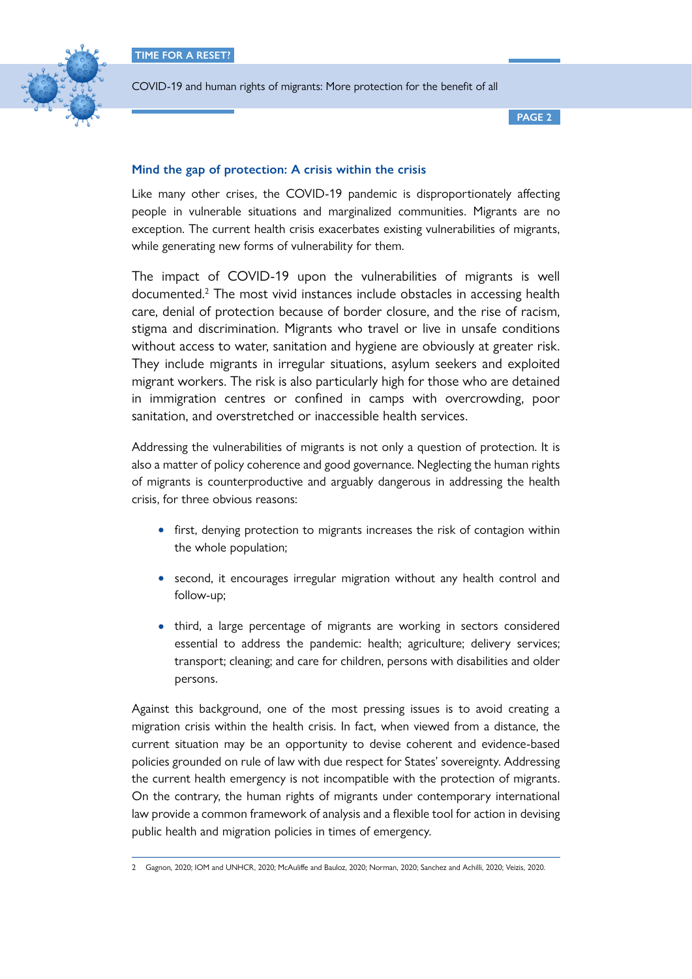

**PAGE 2**

### **Mind the gap of protection: A crisis within the crisis**

Like many other crises, the COVID-19 pandemic is disproportionately affecting people in vulnerable situations and marginalized communities. Migrants are no exception. The current health crisis exacerbates existing vulnerabilities of migrants, while generating new forms of vulnerability for them.

The impact of COVID-19 upon the vulnerabilities of migrants is well documented.<sup>2</sup> The most vivid instances include obstacles in accessing health care, denial of protection because of border closure, and the rise of racism, stigma and discrimination. Migrants who travel or live in unsafe conditions without access to water, sanitation and hygiene are obviously at greater risk. They include migrants in irregular situations, asylum seekers and exploited migrant workers. The risk is also particularly high for those who are detained in immigration centres or confined in camps with overcrowding, poor sanitation, and overstretched or inaccessible health services.

Addressing the vulnerabilities of migrants is not only a question of protection. It is also a matter of policy coherence and good governance. Neglecting the human rights of migrants is counterproductive and arguably dangerous in addressing the health crisis, for three obvious reasons:

- first, denying protection to migrants increases the risk of contagion within the whole population;
- second, it encourages irregular migration without any health control and follow-up;
- third, a large percentage of migrants are working in sectors considered essential to address the pandemic: health; agriculture; delivery services; transport; cleaning; and care for children, persons with disabilities and older persons.

Against this background, one of the most pressing issues is to avoid creating a migration crisis within the health crisis. In fact, when viewed from a distance, the current situation may be an opportunity to devise coherent and evidence-based policies grounded on rule of law with due respect for States' sovereignty. Addressing the current health emergency is not incompatible with the protection of migrants. On the contrary, the human rights of migrants under contemporary international law provide a common framework of analysis and a flexible tool for action in devising public health and migration policies in times of emergency.

<sup>2</sup> Gagnon, 2020; IOM and UNHCR, 2020; McAuliffe and Bauloz, 2020; Norman, 2020; Sanchez and Achilli, 2020; Veizis, 2020.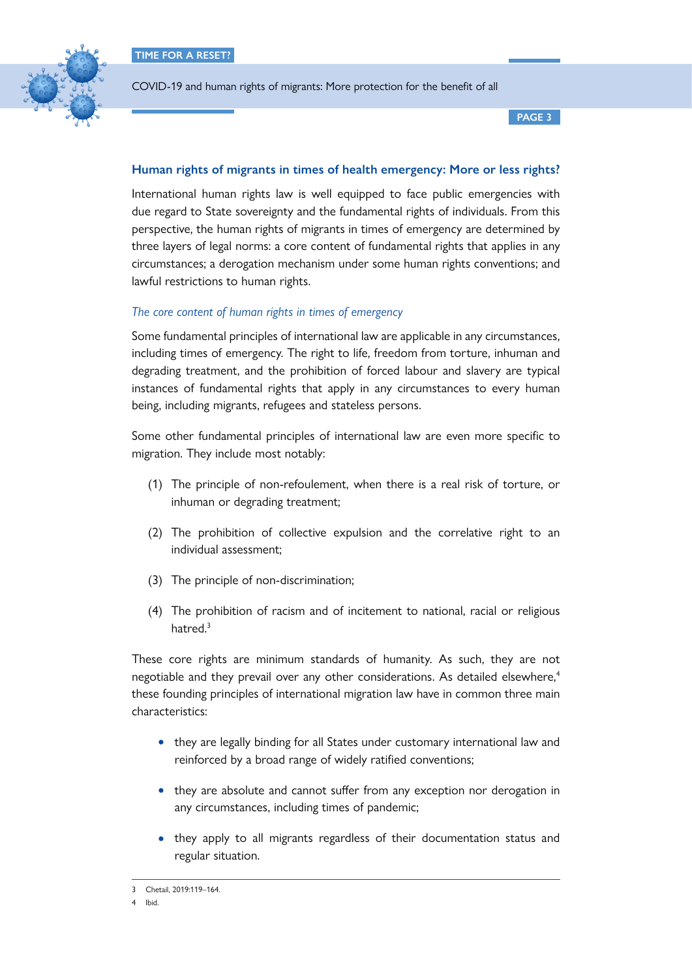

**PAGE 3**

## **Human rights of migrants in times of health emergency: More or less rights?**

International human rights law is well equipped to face public emergencies with due regard to State sovereignty and the fundamental rights of individuals. From this perspective, the human rights of migrants in times of emergency are determined by three layers of legal norms: a core content of fundamental rights that applies in any circumstances; a derogation mechanism under some human rights conventions; and lawful restrictions to human rights.

### *The core content of human rights in times of emergency*

Some fundamental principles of international law are applicable in any circumstances, including times of emergency. The right to life, freedom from torture, inhuman and degrading treatment, and the prohibition of forced labour and slavery are typical instances of fundamental rights that apply in any circumstances to every human being, including migrants, refugees and stateless persons.

Some other fundamental principles of international law are even more specific to migration. They include most notably:

- (1) The principle of non-refoulement, when there is a real risk of torture, or inhuman or degrading treatment;
- (2) The prohibition of collective expulsion and the correlative right to an individual assessment;
- (3) The principle of non-discrimination;
- (4) The prohibition of racism and of incitement to national, racial or religious hatred.<sup>3</sup>

These core rights are minimum standards of humanity. As such, they are not negotiable and they prevail over any other considerations. As detailed elsewhere,<sup>4</sup> these founding principles of international migration law have in common three main characteristics:

- they are legally binding for all States under customary international law and reinforced by a broad range of widely ratified conventions;
- they are absolute and cannot suffer from any exception nor derogation in any circumstances, including times of pandemic;
- they apply to all migrants regardless of their documentation status and regular situation.

<sup>3</sup> Chetail, 2019:119–164.

<sup>4</sup> Ibid.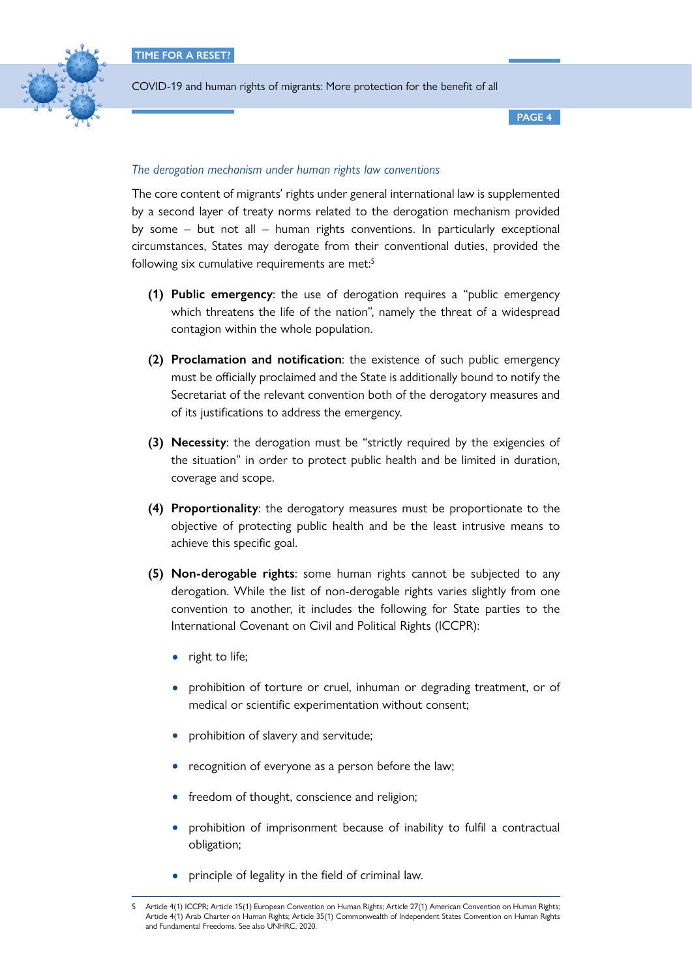

**PAGE 4**

#### *The derogation mechanism under human rights law conventions*

The core content of migrants' rights under general international law is supplemented by a second layer of treaty norms related to the derogation mechanism provided by some – but not all – human rights conventions. In particularly exceptional circumstances, States may derogate from their conventional duties, provided the following six cumulative requirements are met: $5$ 

- **(1) Public emergency**: the use of derogation requires a "public emergency which threatens the life of the nation", namely the threat of a widespread contagion within the whole population.
- **(2) Proclamation and notification**: the existence of such public emergency must be officially proclaimed and the State is additionally bound to notify the Secretariat of the relevant convention both of the derogatory measures and of its justifications to address the emergency.
- **(3) Necessity**: the derogation must be "strictly required by the exigencies of the situation" in order to protect public health and be limited in duration, coverage and scope.
- **(4) Proportionality**: the derogatory measures must be proportionate to the objective of protecting public health and be the least intrusive means to achieve this specific goal.
- **(5) Non-derogable rights**: some human rights cannot be subjected to any derogation. While the list of non-derogable rights varies slightly from one convention to another, it includes the following for State parties to the International Covenant on Civil and Political Rights (ICCPR):
	- right to life;
	- prohibition of torture or cruel, inhuman or degrading treatment, or of medical or scientific experimentation without consent;
	- prohibition of slavery and servitude;
	- recognition of everyone as a person before the law;
	- freedom of thought, conscience and religion;
	- prohibition of imprisonment because of inability to fulfil a contractual obligation;
	- principle of legality in the field of criminal law.

Article 4(1) ICCPR; Article 15(1) European Convention on Human Rights; Article 27(1) American Convention on Human Rights; Article 4(1) Arab Charter on Human Rights; Article 35(1) Commonwealth of Independent States Convention on Human Rights and Fundamental Freedoms. See also UNHRC, 2020.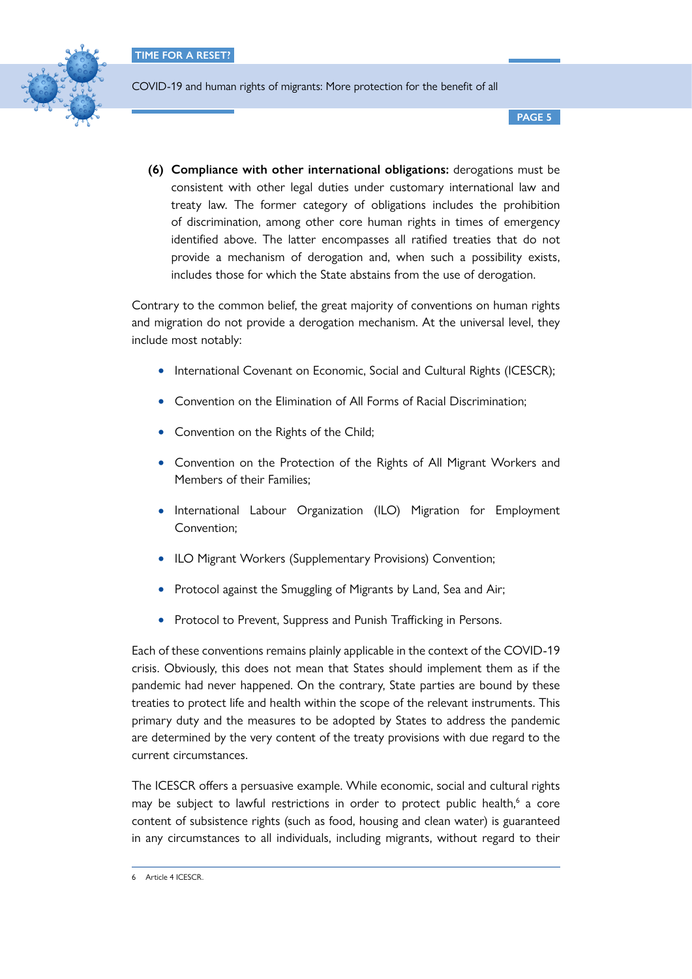

**PAGE 5**

**(6) Compliance with other international obligations:** derogations must be consistent with other legal duties under customary international law and treaty law. The former category of obligations includes the prohibition of discrimination, among other core human rights in times of emergency identified above. The latter encompasses all ratified treaties that do not provide a mechanism of derogation and, when such a possibility exists, includes those for which the State abstains from the use of derogation.

Contrary to the common belief, the great majority of conventions on human rights and migration do not provide a derogation mechanism. At the universal level, they include most notably:

- International Covenant on Economic, Social and Cultural Rights (ICESCR);
- Convention on the Elimination of All Forms of Racial Discrimination;
- Convention on the Rights of the Child;
- Convention on the Protection of the Rights of All Migrant Workers and Members of their Families;
- International Labour Organization (ILO) Migration for Employment Convention;
- ILO Migrant Workers (Supplementary Provisions) Convention;
- Protocol against the Smuggling of Migrants by Land, Sea and Air;
- Protocol to Prevent, Suppress and Punish Trafficking in Persons.

Each of these conventions remains plainly applicable in the context of the COVID-19 crisis. Obviously, this does not mean that States should implement them as if the pandemic had never happened. On the contrary, State parties are bound by these treaties to protect life and health within the scope of the relevant instruments. This primary duty and the measures to be adopted by States to address the pandemic are determined by the very content of the treaty provisions with due regard to the current circumstances.

The ICESCR offers a persuasive example. While economic, social and cultural rights may be subject to lawful restrictions in order to protect public health,<sup>6</sup> a core content of subsistence rights (such as food, housing and clean water) is guaranteed in any circumstances to all individuals, including migrants, without regard to their

<sup>6</sup> Article 4 ICESCR.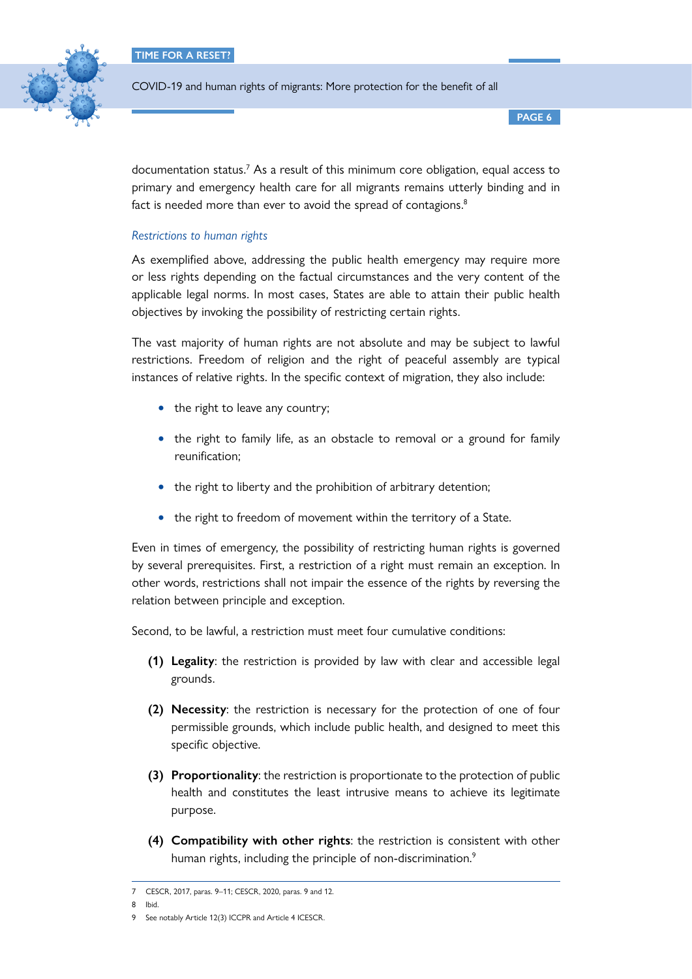

COVID-19 and human rights of migrants: More protection for the benefit of all

**PAGE 6**

documentation status.<sup>7</sup> As a result of this minimum core obligation, equal access to primary and emergency health care for all migrants remains utterly binding and in fact is needed more than ever to avoid the spread of contagions.<sup>8</sup>

## *Restrictions to human rights*

As exemplified above, addressing the public health emergency may require more or less rights depending on the factual circumstances and the very content of the applicable legal norms. In most cases, States are able to attain their public health objectives by invoking the possibility of restricting certain rights.

The vast majority of human rights are not absolute and may be subject to lawful restrictions. Freedom of religion and the right of peaceful assembly are typical instances of relative rights. In the specific context of migration, they also include:

- the right to leave any country;
- the right to family life, as an obstacle to removal or a ground for family reunification;
- the right to liberty and the prohibition of arbitrary detention;
- the right to freedom of movement within the territory of a State.

Even in times of emergency, the possibility of restricting human rights is governed by several prerequisites. First, a restriction of a right must remain an exception. In other words, restrictions shall not impair the essence of the rights by reversing the relation between principle and exception.

Second, to be lawful, a restriction must meet four cumulative conditions:

- **(1) Legality**: the restriction is provided by law with clear and accessible legal grounds.
- **(2) Necessity**: the restriction is necessary for the protection of one of four permissible grounds, which include public health, and designed to meet this specific objective.
- **(3) Proportionality**: the restriction is proportionate to the protection of public health and constitutes the least intrusive means to achieve its legitimate purpose.
- **(4) Compatibility with other rights**: the restriction is consistent with other human rights, including the principle of non-discrimination.<sup>9</sup>

8 Ibid.

<sup>7</sup> CESCR, 2017, paras. 9–11; CESCR, 2020, paras. 9 and 12.

<sup>9</sup> See notably Article 12(3) ICCPR and Article 4 ICESCR.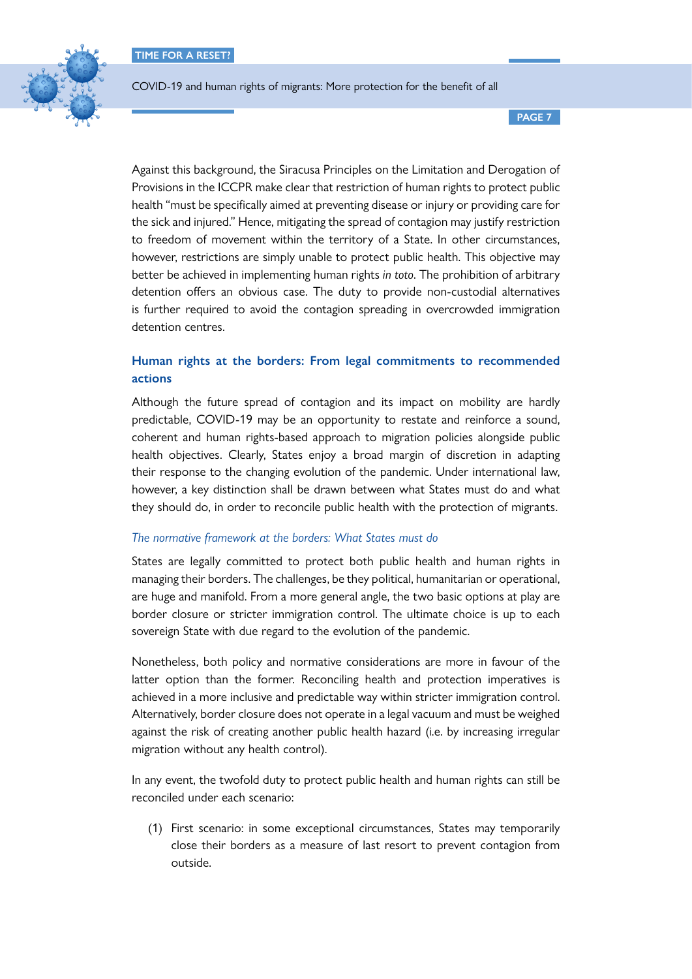

COVID-19 and human rights of migrants: More protection for the benefit of all

**PAGE 7**

Against this background, the Siracusa Principles on the Limitation and Derogation of Provisions in the ICCPR make clear that restriction of human rights to protect public health "must be specifically aimed at preventing disease or injury or providing care for the sick and injured." Hence, mitigating the spread of contagion may justify restriction to freedom of movement within the territory of a State. In other circumstances, however, restrictions are simply unable to protect public health. This objective may better be achieved in implementing human rights *in toto*. The prohibition of arbitrary detention offers an obvious case. The duty to provide non-custodial alternatives is further required to avoid the contagion spreading in overcrowded immigration detention centres.

## **Human rights at the borders: From legal commitments to recommended actions**

Although the future spread of contagion and its impact on mobility are hardly predictable, COVID-19 may be an opportunity to restate and reinforce a sound, coherent and human rights-based approach to migration policies alongside public health objectives. Clearly, States enjoy a broad margin of discretion in adapting their response to the changing evolution of the pandemic. Under international law, however, a key distinction shall be drawn between what States must do and what they should do, in order to reconcile public health with the protection of migrants.

## *The normative framework at the borders: What States must do*

States are legally committed to protect both public health and human rights in managing their borders. The challenges, be they political, humanitarian or operational, are huge and manifold. From a more general angle, the two basic options at play are border closure or stricter immigration control. The ultimate choice is up to each sovereign State with due regard to the evolution of the pandemic.

Nonetheless, both policy and normative considerations are more in favour of the latter option than the former. Reconciling health and protection imperatives is achieved in a more inclusive and predictable way within stricter immigration control. Alternatively, border closure does not operate in a legal vacuum and must be weighed against the risk of creating another public health hazard (i.e. by increasing irregular migration without any health control).

In any event, the twofold duty to protect public health and human rights can still be reconciled under each scenario:

(1) First scenario: in some exceptional circumstances, States may temporarily close their borders as a measure of last resort to prevent contagion from outside.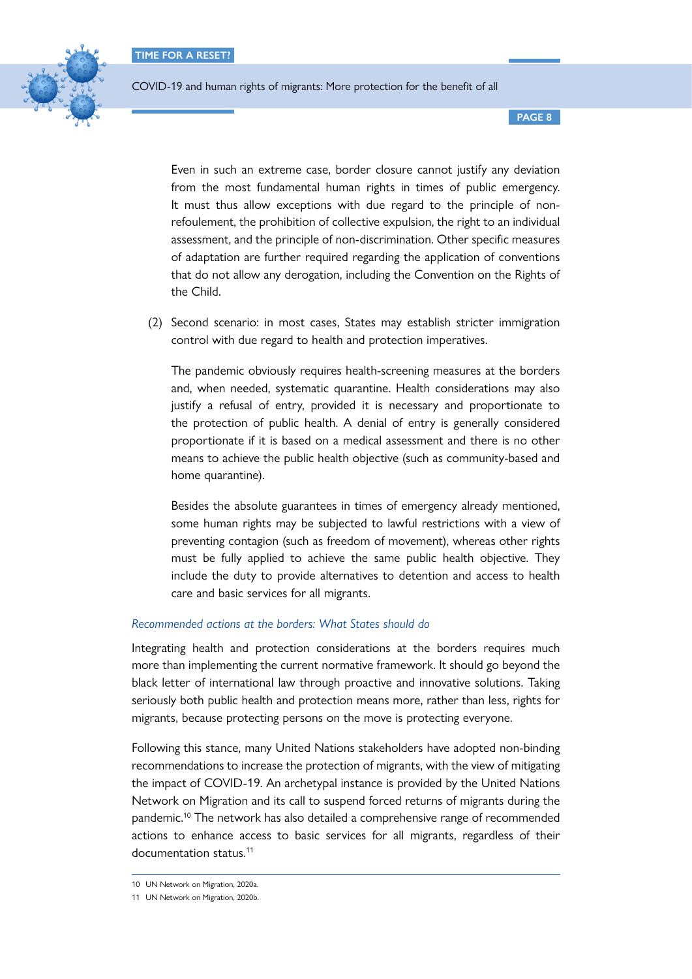

COVID-19 and human rights of migrants: More protection for the benefit of all

**PAGE 8**

Even in such an extreme case, border closure cannot justify any deviation from the most fundamental human rights in times of public emergency. It must thus allow exceptions with due regard to the principle of nonrefoulement, the prohibition of collective expulsion, the right to an individual assessment, and the principle of non-discrimination. Other specific measures of adaptation are further required regarding the application of conventions that do not allow any derogation, including the Convention on the Rights of the Child.

(2) Second scenario: in most cases, States may establish stricter immigration control with due regard to health and protection imperatives.

The pandemic obviously requires health-screening measures at the borders and, when needed, systematic quarantine. Health considerations may also justify a refusal of entry, provided it is necessary and proportionate to the protection of public health. A denial of entry is generally considered proportionate if it is based on a medical assessment and there is no other means to achieve the public health objective (such as community-based and home quarantine).

Besides the absolute guarantees in times of emergency already mentioned, some human rights may be subjected to lawful restrictions with a view of preventing contagion (such as freedom of movement), whereas other rights must be fully applied to achieve the same public health objective. They include the duty to provide alternatives to detention and access to health care and basic services for all migrants.

### *Recommended actions at the borders: What States should do*

Integrating health and protection considerations at the borders requires much more than implementing the current normative framework. It should go beyond the black letter of international law through proactive and innovative solutions. Taking seriously both public health and protection means more, rather than less, rights for migrants, because protecting persons on the move is protecting everyone.

Following this stance, many United Nations stakeholders have adopted non-binding recommendations to increase the protection of migrants, with the view of mitigating the impact of COVID-19. An archetypal instance is provided by the United Nations Network on Migration and its call to suspend forced returns of migrants during the pandemic.10 The network has also detailed a comprehensive range of recommended actions to enhance access to basic services for all migrants, regardless of their documentation status.11

<sup>10</sup> UN Network on Migration, 2020a.

<sup>11</sup> UN Network on Migration, 2020b.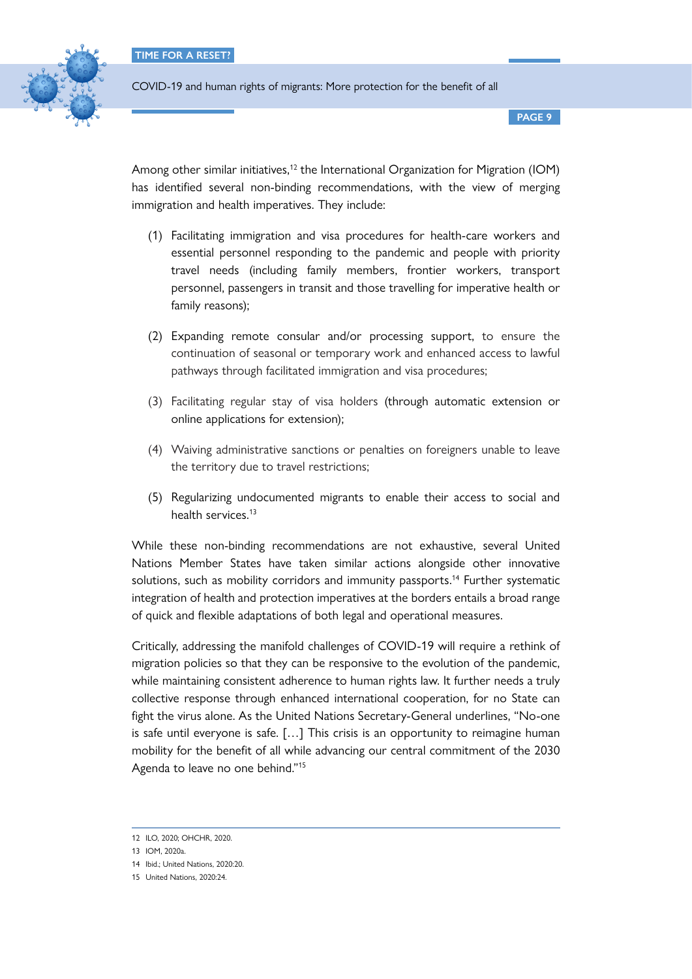

**PAGE 9**

Among other similar initiatives,<sup>12</sup> the International Organization for Migration (IOM) has identified several non-binding recommendations, with the view of merging immigration and health imperatives. They include:

- (1) Facilitating immigration and visa procedures for health-care workers and essential personnel responding to the pandemic and people with priority travel needs (including family members, frontier workers, transport personnel, passengers in transit and those travelling for imperative health or family reasons);
- (2) Expanding remote consular and/or processing support, to ensure the continuation of seasonal or temporary work and enhanced access to lawful pathways through facilitated immigration and visa procedures;
- (3) Facilitating regular stay of visa holders (through automatic extension or online applications for extension);
- (4) Waiving administrative sanctions or penalties on foreigners unable to leave the territory due to travel restrictions;
- (5) Regularizing undocumented migrants to enable their access to social and health services.<sup>13</sup>

While these non-binding recommendations are not exhaustive, several United Nations Member States have taken similar actions alongside other innovative solutions, such as mobility corridors and immunity passports.<sup>14</sup> Further systematic integration of health and protection imperatives at the borders entails a broad range of quick and flexible adaptations of both legal and operational measures.

Critically, addressing the manifold challenges of COVID-19 will require a rethink of migration policies so that they can be responsive to the evolution of the pandemic, while maintaining consistent adherence to human rights law. It further needs a truly collective response through enhanced international cooperation, for no State can fight the virus alone. As the United Nations Secretary-General underlines, "No-one is safe until everyone is safe. […] This crisis is an opportunity to reimagine human mobility for the benefit of all while advancing our central commitment of the 2030 Agenda to leave no one behind."15

<sup>12</sup> ILO, 2020; OHCHR, 2020.

<sup>13</sup> IOM, 2020a.

<sup>14</sup> Ibid.; United Nations, 2020:20.

<sup>15</sup> United Nations, 2020:24.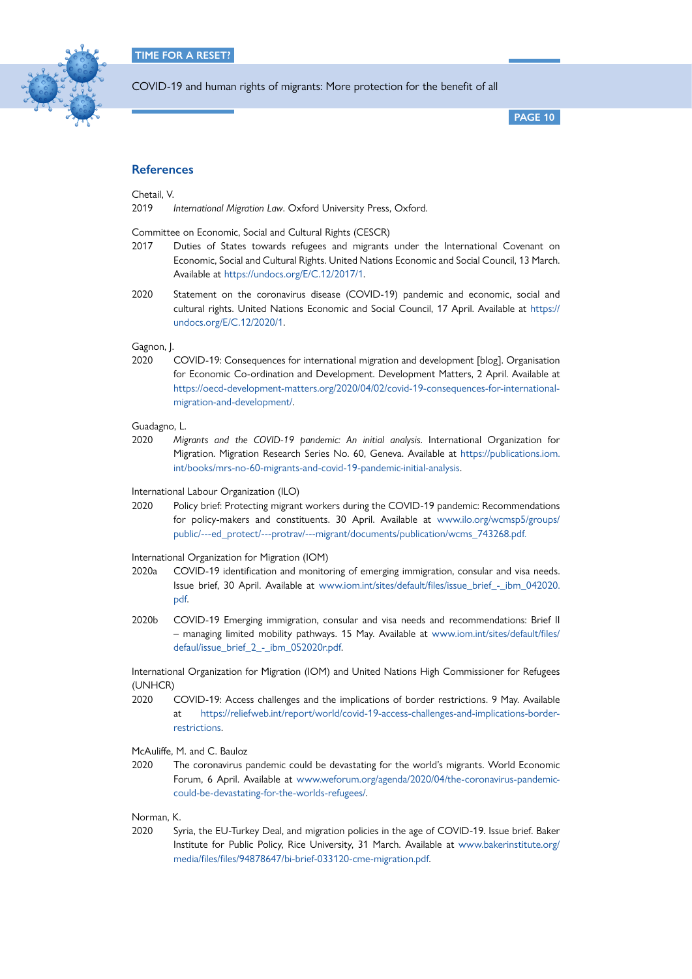

**PAGE 10**

#### **References**

Chetail, V.

2019 *International Migration Law*. Oxford University Press, Oxford.

Committee on Economic, Social and Cultural Rights (CESCR)

- 2017 Duties of States towards refugees and migrants under the International Covenant on Economic, Social and Cultural Rights. United Nations Economic and Social Council, 13 March. Available at [https://undocs.org/E/C.12/2017/1.](https://undocs.org/E/C.12/2017/1)
- 2020 Statement on the coronavirus disease (COVID-19) pandemic and economic, social and cultural rights. United Nations Economic and Social Council, 17 April. Available at [https://](https://undocs.org/E/C.12/2020/1) [undocs.org/E/C.12/2020/1.](https://undocs.org/E/C.12/2020/1)

Gagnon, J.

2020 COVID-19: Consequences for international migration and development [blog]. Organisation for Economic Co-ordination and Development. Development Matters, 2 April. Available at [https://oecd-development-matters.org/2020/04/02/covid-19-consequences-for-international](https://oecd-development-matters.org/2020/04/02/covid-19-consequences-for-international-migration-and-development/)[migration-and-development/.](https://oecd-development-matters.org/2020/04/02/covid-19-consequences-for-international-migration-and-development/)

Guadagno, L.

2020 *Migrants and the COVID-19 pandemic: An initial analysis*. International Organization for Migration. Migration Research Series No. 60, Geneva. Available at [https://publications.iom.](https://publications.iom.int/books/mrs-no-60-migrants-and-covid-19-pandemic-initial-analysis) [int/books/mrs-no-60-migrants-and-covid-19-pandemic-initial-analysis.](https://publications.iom.int/books/mrs-no-60-migrants-and-covid-19-pandemic-initial-analysis)

International Labour Organization (ILO)

2020 Policy brief: Protecting migrant workers during the COVID-19 pandemic: Recommendations for policy-makers and constituents. 30 April. Available at [www.ilo.org/wcmsp5/groups/](http://www.ilo.org/wcmsp5/groups/public/---ed_protect/---protrav/---migrant/documents/publication/wcms_743268.pdf) [public/---ed\\_protect/---protrav/---migrant/documents/publication/wcms\\_743268.pdf](http://www.ilo.org/wcmsp5/groups/public/---ed_protect/---protrav/---migrant/documents/publication/wcms_743268.pdf).

International Organization for Migration (IOM)

- 2020a COVID-19 identification and monitoring of emerging immigration, consular and visa needs. Issue brief, 30 April. Available at [www.iom.int/sites/default/files/issue\\_brief\\_-\\_ibm\\_042020.](http://www.iom.int/sites/default/files/issue_brief_-_ibm_042020.pdf) [pdf.](http://www.iom.int/sites/default/files/issue_brief_-_ibm_042020.pdf)
- 2020b COVID-19 Emerging immigration, consular and visa needs and recommendations: Brief II – managing limited mobility pathways. 15 May. Available at [www.iom.int/sites/default/files/](http://www.iom.int/sites/default/files/defaul/issue_brief_2_-_ibm_052020r.pdf) [defaul/issue\\_brief\\_2\\_-\\_ibm\\_052020r.pdf.](http://www.iom.int/sites/default/files/defaul/issue_brief_2_-_ibm_052020r.pdf)

International Organization for Migration (IOM) and United Nations High Commissioner for Refugees (UNHCR)

2020 COVID-19: Access challenges and the implications of border restrictions. 9 May. Available at [https://reliefweb.int/report/world/covid-19-access-challenges-and-implications-border](https://reliefweb.int/report/world/covid-19-access-challenges-and-implications-border-restrictions)[restrictions](https://reliefweb.int/report/world/covid-19-access-challenges-and-implications-border-restrictions).

McAuliffe, M. and C. Bauloz

2020 The coronavirus pandemic could be devastating for the world's migrants. World Economic Forum, 6 April. Available at [www.weforum.org/agenda/2020/04/the-coronavirus-pandemic](http://www.weforum.org/agenda/2020/04/the-coronavirus-pandemic-could-be-devastating-for-the-worlds-refugees/)[could-be-devastating-for-the-worlds-refugees/.](http://www.weforum.org/agenda/2020/04/the-coronavirus-pandemic-could-be-devastating-for-the-worlds-refugees/)

Norman, K.

2020 Syria, the EU-Turkey Deal, and migration policies in the age of COVID-19. Issue brief. Baker Institute for Public Policy, Rice University, 31 March. Available at [www.bakerinstitute.org/](http://www.bakerinstitute.org/media/files/files/94878647/bi-brief-033120-cme-migration.pdf) [media/files/files/94878647/bi-brief-033120-cme-migration.pdf](http://www.bakerinstitute.org/media/files/files/94878647/bi-brief-033120-cme-migration.pdf).